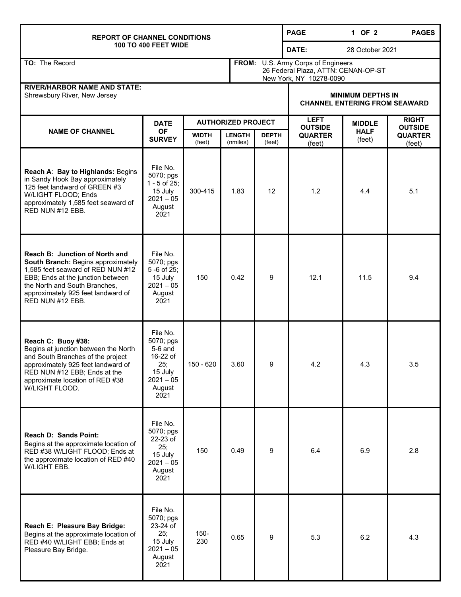## **REPORT OF CHANNEL CONDITIONS 100 TO 400 FEET WIDE PAGE 1 OF 2 PAGES DATE:** 28 October 2021 **TO:** The Record **FROM:** U.S. Army Corps of Engineers 26 Federal Plaza, ATTN: CENAN-OP-ST New York, NY 10278-0090 **RIVER/HARBOR NAME AND STATE:**  Shrewsbury River, New Jersey **MINIMUM DEPTHS IN MINIMUM DEPTHS IN CHANNEL ENTERING FROM SEAWARD NAME OF CHANNEL DATE OF SURVEY AUTHORIZED PROJECT LEFT OUTSIDE QUARTER**  (feet) **MIDDLE HALF**  (feet) **RIGHT OUTSIDE QUARTER**  (feet) **WIDTH**  (feet) **LENGTH**  (nmiles) **DEPTH**  (feet) **Reach A**: **Bay to Highlands:** Begins in Sandy Hook Bay approximately 125 feet landward of GREEN #3 W/LIGHT FLOOD; Ends approximately 1,585 feet seaward of RED NUN #12 EBB. File No. 5070; pgs 1 - 5 of 25; 15 July  $2021 - 05$ August 2021 300-415 1.83 12 1.2 4.4 5.1 **Reach B: Junction of North and South Branch:** Begins approximately 1,585 feet seaward of RED NUN #12 EBB; Ends at the junction between the North and South Branches, approximately 925 feet landward of RED NUN #12 EBB. File No. 5070; pgs 5 -6 of 25; 15 July  $2021 - 05$ August 2021 150 0.42 9 12.1 11.5 0.4 **Reach C: Buoy #38:**  Begins at junction between the North and South Branches of the project approximately 925 feet landward of RED NUN #12 EBB; Ends at the approximate location of RED #38 W/LIGHT FLOOD. File No. 5070; pgs 5-6 and 16-22 of 25; 15 July 2021 – 05 August 2021 150 - 620 | 3.60 | 9 | 4.2 | 4.3 | 3.5 **Reach D: Sands Point:**  Begins at the approximate location of RED #38 W/LIGHT FLOOD; Ends at the approximate location of RED #40 W/LIGHT EBB. File No. 5070; pgs 22-23 of 25; 15 July  $2021 - 05$ August 2021 150 0.49 9 6.4 6.9 2.8 **Reach E: Pleasure Bay Bridge:**  Begins at the approximate location of RED #40 W/LIGHT EBB; Ends at Pleasure Bay Bridge. File No. 5070; pgs 23-24 of 25; 15 July  $2021 - 05$ August 2021 150-  $230$  0.65 9 5.3 6.2 4.3